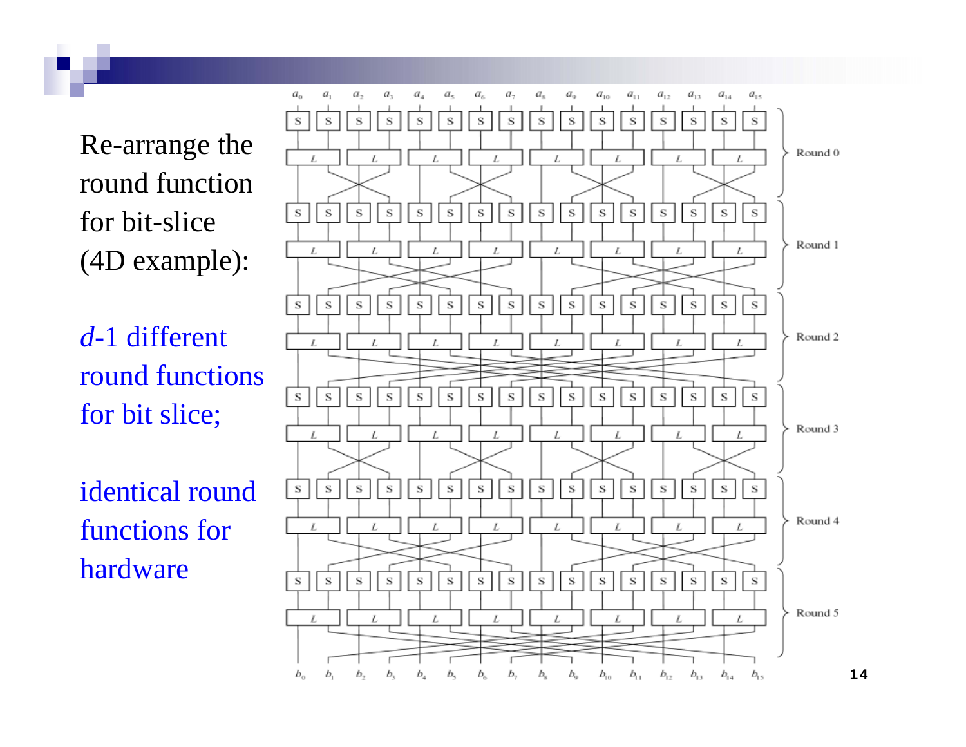Re-arrange the round function for bit-slice (4D example):

*d*-1 different round functionsfor bit slice;

identical roundfunctions forhardware

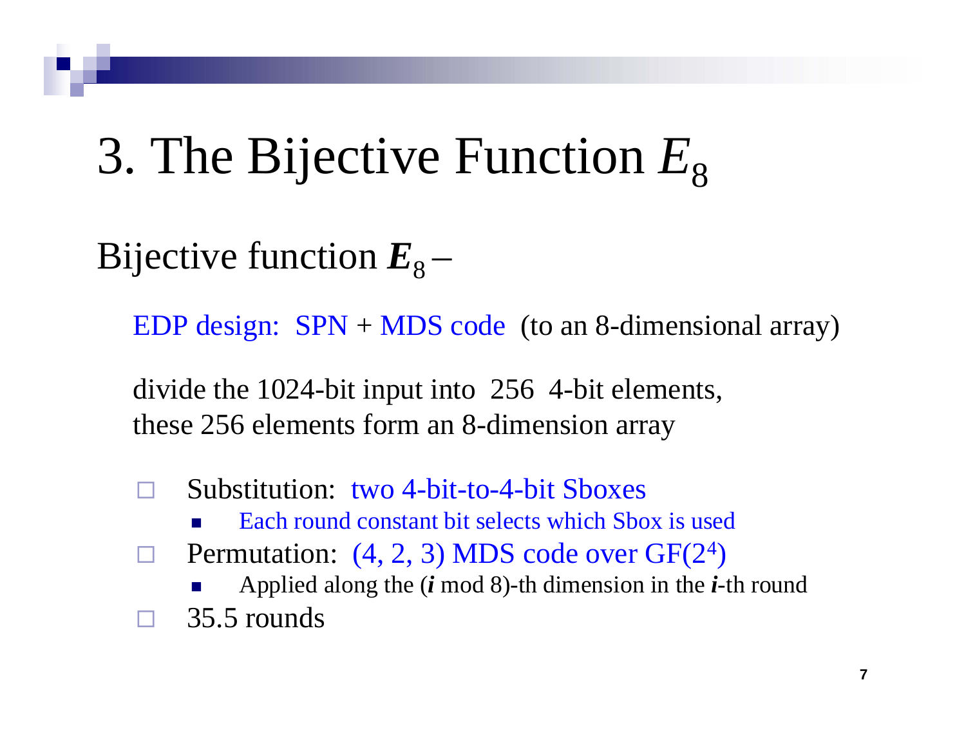#### 3. The Bijective Function *E* 8

Bijective function  $E_8^+$ –

EDP design: SPN + MDS code (to an 8-dimensional array)

divide the 1024-bit input into 256 4-bit elements, these 256 elements form an 8-dimension array

- $\Box$  Substitution: two 4-bit-to-4-bit Sboxes
	- P. Each round constant bit selects which Sbox is used
- $\Box$  $\Box$  Permutation: (4, 2, 3) MDS code over GF(2<sup>4</sup> )

 $\mathbb{R}^n$ ■ Applied along the *(i* mod 8)-th dimension in the *i*-th round  $\Box$ 35.5 rounds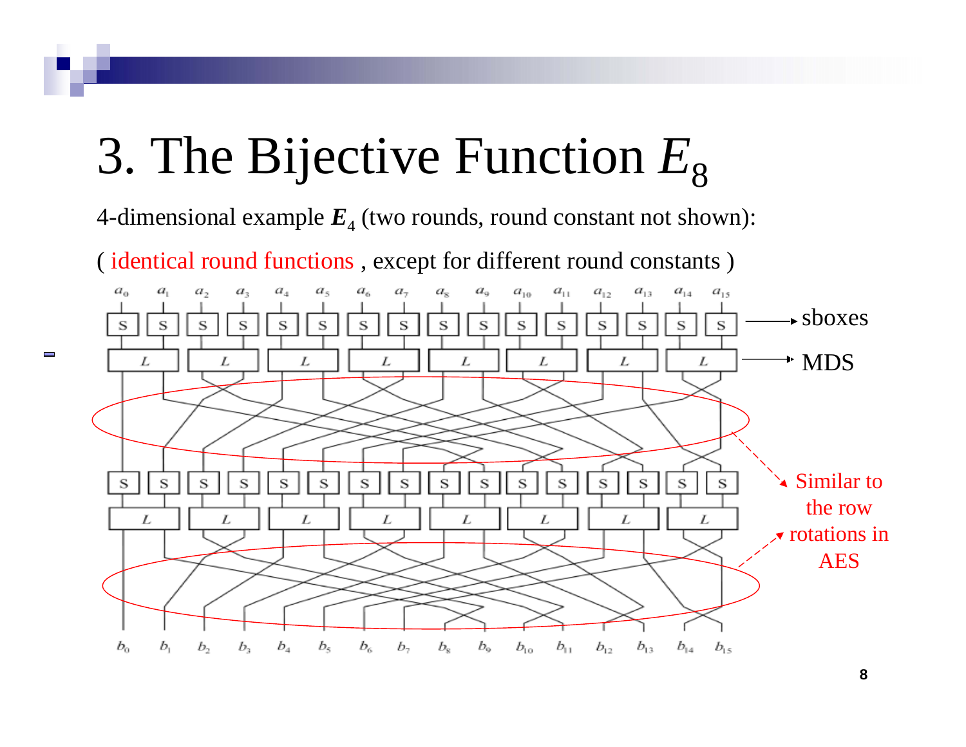#### 3. The Bijective Function *E* 8

4-dimensional example  $\boldsymbol{E}_4$  (two rounds, round constant not shown):

( identical round functions , except for different round constants )

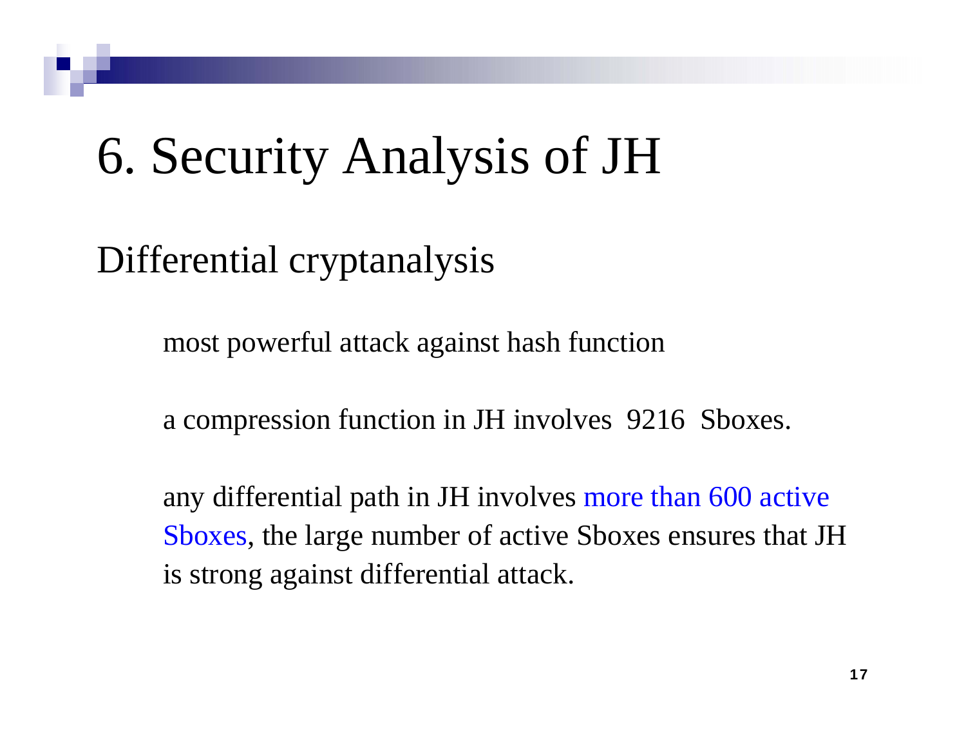# 6. Security Analysis of JH

### Differential cryptanalysis

most powerful attack against hash function

a compression function in JH involves 9216 Sboxes.

any differential path in JH involves more than 600 active Sboxes, the large number of active Sboxes ensures that JH is strong against differential attack.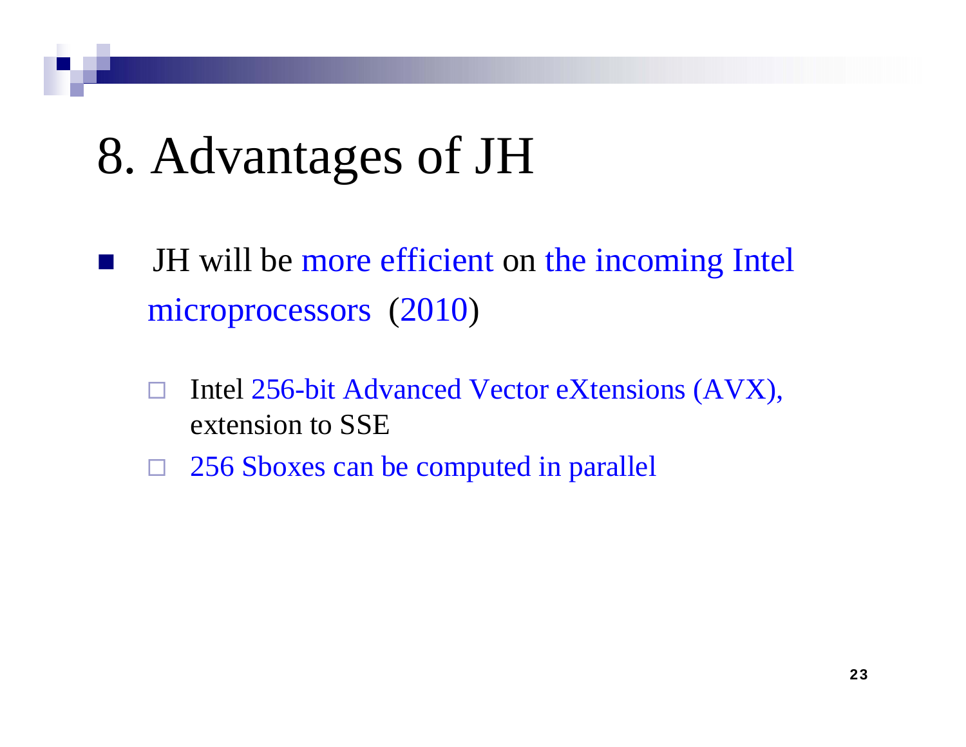# 8. Advantages of JH

- JH will be more efficient on the incoming Intel microprocessors (2010 )
	- $\Box$  Intel 256-bit Advanced Vector eXtensions (AVX), extension to SSE
	- $\Box$ □ 256 Sboxes can be computed in parallel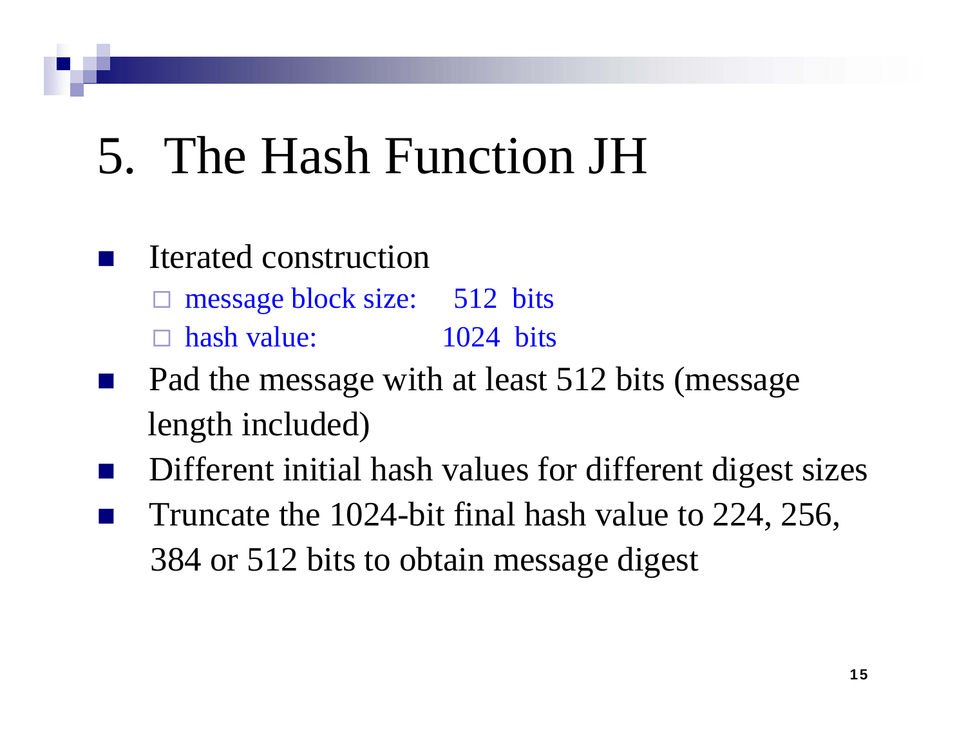# 5. The Hash Function JH

#### **Service Service** Iterated construction

 $\Box$ message block size: 512 bits

 $\Box$ hash value: 1024 bits

- Pad the message with at least 512 bits (message length included)
- Different initial hash values for different digest sizes Truncate the 1024-bit final hash value to 224, 256, 384 or 512 bits to obtain message digest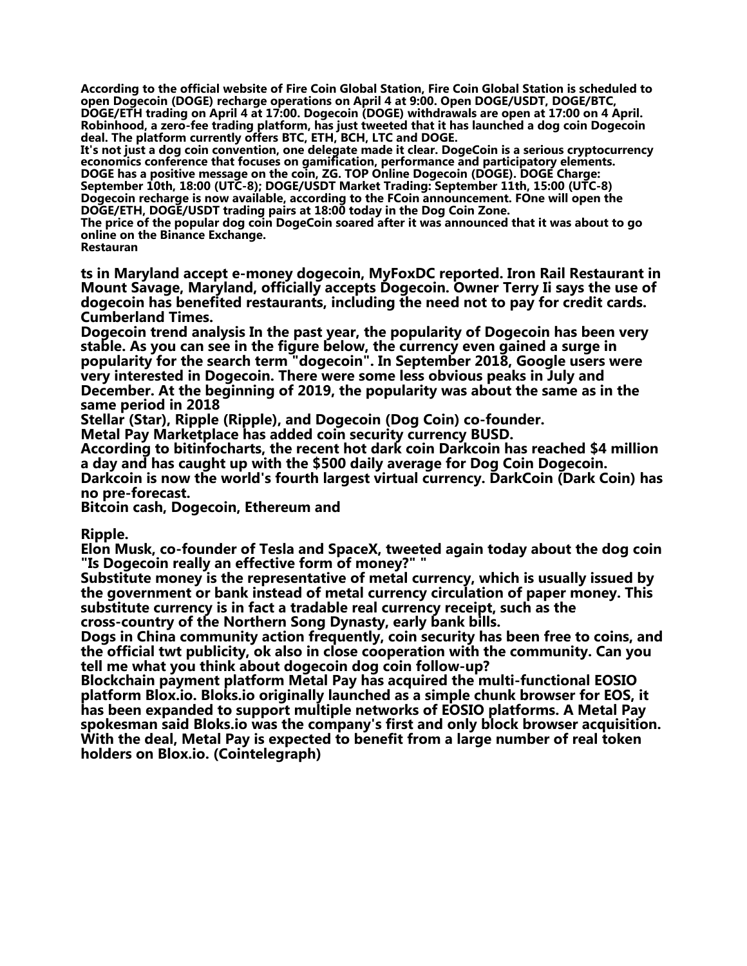**According to the official website of Fire Coin Global Station, Fire Coin Global Station is scheduled to open Dogecoin (DOGE) recharge operations on April 4 at 9:00. Open DOGE/USDT, DOGE/BTC, DOGE/ETH trading on April 4 at 17:00. Dogecoin (DOGE) withdrawals are open at 17:00 on 4 April. Robinhood, a zero-fee trading platform, has just tweeted that it has launched a dog coin Dogecoin deal. The platform currently offers BTC, ETH, BCH, LTC and DOGE.**

**It's not just a dog coin convention, one delegate made it clear. DogeCoin is a serious cryptocurrency economics conference that focuses on gamification, performance and participatory elements. DOGE has a positive message on the coin, ZG. TOP Online Dogecoin (DOGE). DOGE Charge: September 10th, 18:00 (UTC-8); DOGE/USDT Market Trading: September 11th, 15:00 (UTC-8) Dogecoin recharge is now available, according to the FCoin announcement. FOne will open the DOGE/ETH, DOGE/USDT trading pairs at 18:00 today in the Dog Coin Zone.**

**The price of the popular dog coin DogeCoin soared after it was announced that it was about to go online on the Binance Exchange.**

**Restauran**

**ts in Maryland accept e-money dogecoin, MyFoxDC reported. Iron Rail Restaurant in Mount Savage, Maryland, officially accepts Dogecoin. Owner Terry Ii says the use of dogecoin has benefited restaurants, including the need not to pay for credit cards. Cumberland Times.**

**Dogecoin trend analysis In the past year, the popularity of Dogecoin has been very stable. As you can see in the figure below, the currency even gained a surge in popularity for the search term "dogecoin". In September 2018, Google users were very interested in Dogecoin. There were some less obvious peaks in July and December. At the beginning of 2019, the popularity was about the same as in the same period in 2018**

**Stellar (Star), Ripple (Ripple), and Dogecoin (Dog Coin) co-founder.**

**Metal Pay Marketplace has added coin security currency BUSD.**

**According to bitinfocharts, the recent hot dark coin Darkcoin has reached \$4 million a day and has caught up with the \$500 daily average for Dog Coin Dogecoin. Darkcoin is now the world's fourth largest virtual currency. DarkCoin (Dark Coin) has no pre-forecast.**

**Bitcoin cash, Dogecoin, Ethereum and**

**Ripple.**

**Elon Musk, co-founder of Tesla and SpaceX, tweeted again today about the dog coin "Is Dogecoin really an effective form of money?" "**

**Substitute money is the representative of metal currency, which is usually issued by the government or bank instead of metal currency circulation of paper money. This substitute currency is in fact a tradable real currency receipt, such as the cross-country of the Northern Song Dynasty, early bank bills.**

**Dogs in China community action frequently, coin security has been free to coins, and the official twt publicity, ok also in close cooperation with the community. Can you tell me what you think about dogecoin dog coin follow-up?**

**Blockchain payment platform Metal Pay has acquired the multi-functional EOSIO platform Blox.io. Bloks.io originally launched as a simple chunk browser for EOS, it has been expanded to support multiple networks of EOSIO platforms. A Metal Pay spokesman said Bloks.io was the company's first and only block browser acquisition. With the deal, Metal Pay is expected to benefit from a large number of real token holders on Blox.io. (Cointelegraph)**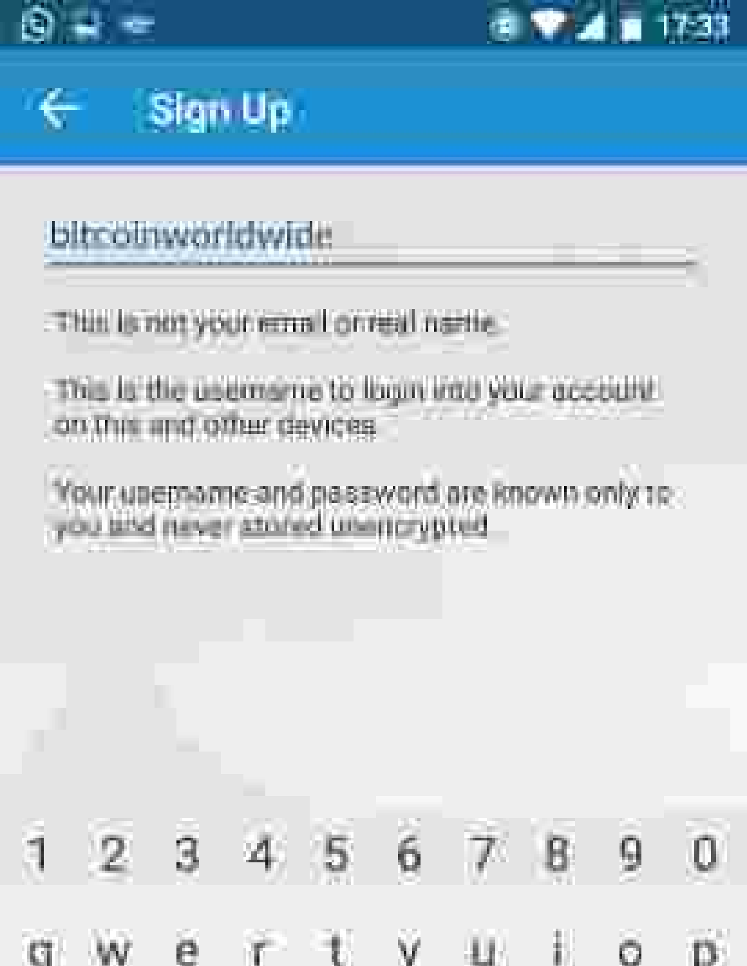



# Sign Up

### **bitcolnworldwide**

### This is not your email or real nette.

#### This is the usemarne to loan into your account. on this and other devices.

### Your unemorne and naseword are Bnown only to . you and never stringd unentpropried



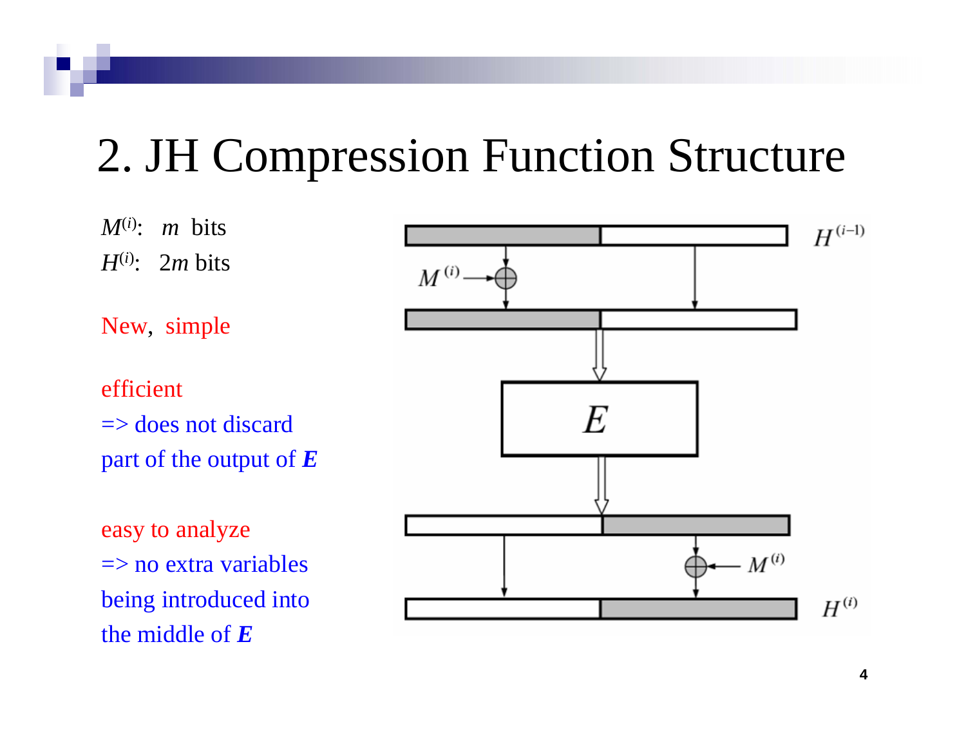### 2. JH Compression Function Structure

*M*(*i*): *m* bits *H*(*i*): 2*m* bits

New, simple

efficient $\Rightarrow$  does not discard part of the output of *E*

easy to analyze  $\Rightarrow$  no extra variables being introduced into the middle of *E*